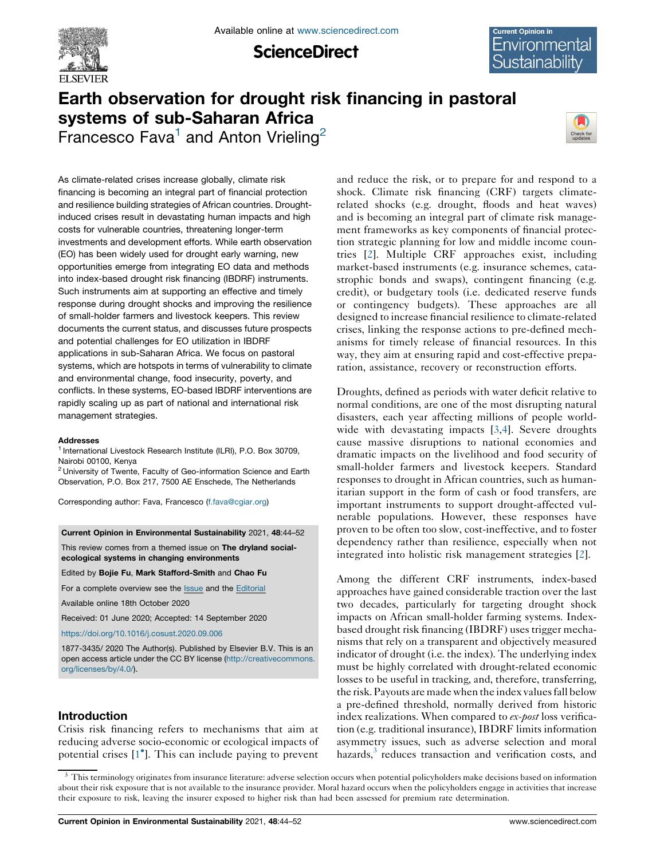

**ScienceDirect** 



# Earth observation for drought risk financing in pastoral systems of sub-Saharan Africa Francesco Fava $^1$  and Anton Vrieling<sup>2</sup>



As climate-related crises increase globally, climate risk financing is becoming an integral part of financial protection and resilience building strategies of African countries. Droughtinduced crises result in devastating human impacts and high costs for vulnerable countries, threatening longer-term investments and development efforts. While earth observation (EO) has been widely used for drought early warning, new opportunities emerge from integrating EO data and methods into index-based drought risk financing (IBDRF) instruments. Such instruments aim at supporting an effective and timely response during drought shocks and improving the resilience of small-holder farmers and livestock keepers. This review documents the current status, and discusses future prospects and potential challenges for EO utilization in IBDRF applications in sub-Saharan Africa. We focus on pastoral systems, which are hotspots in terms of vulnerability to climate and environmental change, food insecurity, poverty, and conflicts. In these systems, EO-based IBDRF interventions are rapidly scaling up as part of national and international risk management strategies.

#### Addresses

<sup>1</sup> International Livestock Research Institute (ILRI), P.O. Box 30709, Nairobi 00100, Kenya

<sup>2</sup> University of Twente, Faculty of Geo-information Science and Earth Observation, P.O. Box 217, 7500 AE Enschede, The Netherlands

Corresponding author: Fava, Francesco (f.fava@cgiar.org)

Current Opinion in Environmental Sustainability 2021, 48:44–52

This review comes from a themed issue on The dryland socialecological systems in changing environments

Edited by Bojie Fu, Mark Stafford-Smith and Chao Fu

For a complete overview see the Issue and the Editorial

Available online 18th October 2020

Received: 01 June 2020; Accepted: 14 September 2020

https://doi.org/10.1016/j.cosust.2020.09.006

1877-3435/ 2020 The Author(s). Published by Elsevier B.V. This is an open access article under the CC BY license (http://creativecommons. org/licenses/by/4.0/).

# Introduction

Crisis risk financing refers to mechanisms that aim at reducing adverse socio-economic or ecological impacts of potential crises [1 ]. This can include paying to prevent

and reduce the risk, or to prepare for and respond to a shock. Climate risk financing (CRF) targets climaterelated shocks (e.g. drought, floods and heat waves) and is becoming an integral part of climate risk management frameworks as key components of financial protection strategic planning for low and middle income countries [2]. Multiple CRF approaches exist, including market-based instruments (e.g. insurance schemes, catastrophic bonds and swaps), contingent financing (e.g. credit), or budgetary tools (i.e. dedicated reserve funds or contingency budgets). These approaches are all designed to increase financial resilience to climate-related crises, linking the response actions to pre-defined mechanisms for timely release of financial resources. In this way, they aim at ensuring rapid and cost-effective preparation, assistance, recovery or reconstruction efforts.

Droughts, defined as periods with water deficit relative to normal conditions, are one of the most disrupting natural disasters, each year affecting millions of people worldwide with devastating impacts [3,4]. Severe droughts cause massive disruptions to national economies and dramatic impacts on the livelihood and food security of small-holder farmers and livestock keepers. Standard responses to drought in African countries, such as humanitarian support in the form of cash or food transfers, are important instruments to support drought-affected vulnerable populations. However, these responses have proven to be often too slow, cost-ineffective, and to foster dependency rather than resilience, especially when not integrated into holistic risk management strategies [2].

Among the different CRF instruments, index-based approaches have gained considerable traction over the last two decades, particularly for targeting drought shock impacts on African small-holder farming systems. Indexbased drought risk financing (IBDRF) uses trigger mechanisms that rely on a transparent and objectively measured indicator of drought (i.e. the index). The underlying index must be highly correlated with drought-related economic losses to be useful in tracking, and, therefore, transferring, the risk.Payouts are made when the index valuesfall below a pre-defined threshold, normally derived from historic index realizations. When compared to ex-post loss verification (e.g. traditional insurance), IBDRF limits information asymmetry issues, such as adverse selection and moral hazards,<sup>3</sup> reduces transaction and verification costs, and

<sup>&</sup>lt;sup>3</sup> This terminology originates from insurance literature: adverse selection occurs when potential policyholders make decisions based on information about their risk exposure that is not available to the insurance provider. Moral hazard occurs when the policyholders engage in activities that increase their exposure to risk, leaving the insurer exposed to higher risk than had been assessed for premium rate determination.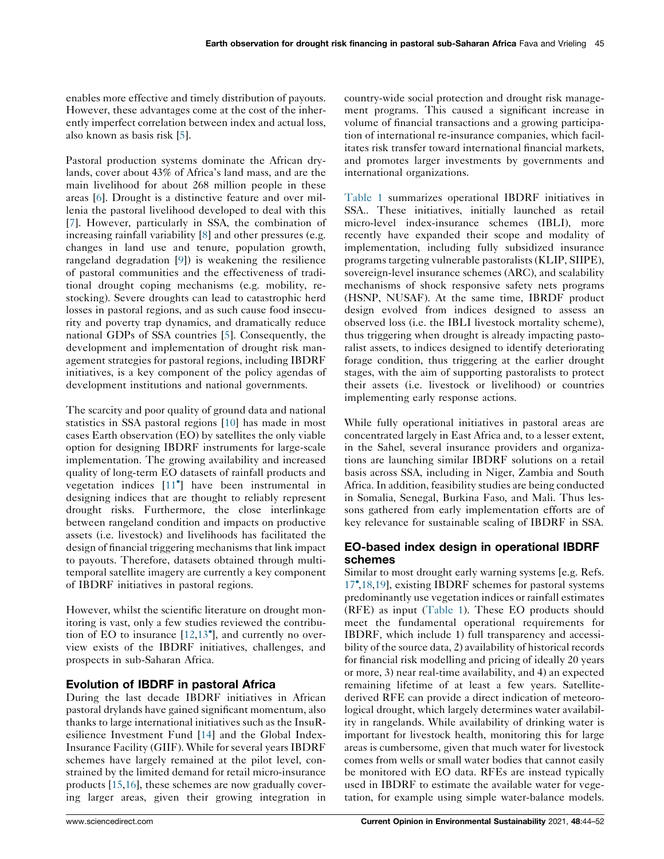enables more effective and timely distribution of payouts. However, these advantages come at the cost of the inherently imperfect correlation between index and actual loss, also known as basis risk [5].

Pastoral production systems dominate the African drylands, cover about 43% of Africa's land mass, and are the main livelihood for about 268 million people in these areas [6]. Drought is a distinctive feature and over millenia the pastoral livelihood developed to deal with this [7]. However, particularly in SSA, the combination of increasing rainfall variability [8] and other pressures (e.g. changes in land use and tenure, population growth, rangeland degradation [9]) is weakening the resilience of pastoral communities and the effectiveness of traditional drought coping mechanisms (e.g. mobility, restocking). Severe droughts can lead to catastrophic herd losses in pastoral regions, and as such cause food insecurity and poverty trap dynamics, and dramatically reduce national GDPs of SSA countries [5]. Consequently, the development and implementation of drought risk management strategies for pastoral regions, including IBDRF initiatives, is a key component of the policy agendas of development institutions and national governments.

The scarcity and poor quality of ground data and national statistics in SSA pastoral regions [10] has made in most cases Earth observation (EO) by satellites the only viable option for designing IBDRF instruments for large-scale implementation. The growing availability and increased quality of long-term EO datasets of rainfall products and vegetation indices [11 ] have been instrumental in designing indices that are thought to reliably represent drought risks. Furthermore, the close interlinkage between rangeland condition and impacts on productive assets (i.e. livestock) and livelihoods has facilitated the design of financial triggering mechanisms that link impact to payouts. Therefore, datasets obtained through multitemporal satellite imagery are currently a key component of IBDRF initiatives in pastoral regions.

However, whilst the scientific literature on drought monitoring is vast, only a few studies reviewed the contribution of EO to insurance  $[12,13^{\circ}]$ , and currently no overview exists of the IBDRF initiatives, challenges, and prospects in sub-Saharan Africa.

# Evolution of IBDRF in pastoral Africa

During the last decade IBDRF initiatives in African pastoral drylands have gained significant momentum, also thanks to large international initiatives such as the InsuResilience Investment Fund [14] and the Global Index-Insurance Facility (GIIF). While for several years IBDRF schemes have largely remained at the pilot level, constrained by the limited demand for retail micro-insurance products [15,16], these schemes are now gradually covering larger areas, given their growing integration in country-wide social protection and drought risk management programs. This caused a significant increase in volume of financial transactions and a growing participation of international re-insurance companies, which facilitates risk transfer toward international financial markets, and promotes larger investments by governments and international organizations.

Table 1 summarizes operational IBDRF initiatives in SSA.. These initiatives, initially launched as retail micro-level index-insurance schemes (IBLI), more recently have expanded their scope and modality of implementation, including fully subsidized insurance programs targeting vulnerable pastoralists(KLIP, SIIPE), sovereign-level insurance schemes (ARC), and scalability mechanisms of shock responsive safety nets programs (HSNP, NUSAF). At the same time, IBRDF product design evolved from indices designed to assess an observed loss (i.e. the IBLI livestock mortality scheme), thus triggering when drought is already impacting pastoralist assets, to indices designed to identify deteriorating forage condition, thus triggering at the earlier drought stages, with the aim of supporting pastoralists to protect their assets (i.e. livestock or livelihood) or countries implementing early response actions.

While fully operational initiatives in pastoral areas are concentrated largely in East Africa and, to a lesser extent, in the Sahel, several insurance providers and organizations are launching similar IBDRF solutions on a retail basis across SSA, including in Niger, Zambia and South Africa. In addition, feasibility studies are being conducted in Somalia, Senegal, Burkina Faso, and Mali. Thus lessons gathered from early implementation efforts are of key relevance for sustainable scaling of IBDRF in SSA.

# EO-based index design in operational IBDRF schemes

Similar to most drought early warning systems [e.g. Refs. 17<sup>•</sup>,18,19], existing IBDRF schemes for pastoral systems predominantly use vegetation indices or rainfall estimates (RFE) as input (Table 1). These EO products should meet the fundamental operational requirements for IBDRF, which include 1) full transparency and accessibility of the source data, 2) availability of historical records for financial risk modelling and pricing of ideally 20 years or more, 3) near real-time availability, and 4) an expected remaining lifetime of at least a few years. Satellitederived RFE can provide a direct indication of meteorological drought, which largely determines water availability in rangelands. While availability of drinking water is important for livestock health, monitoring this for large areas is cumbersome, given that much water for livestock comes from wells or small water bodies that cannot easily be monitored with EO data. RFEs are instead typically used in IBDRF to estimate the available water for vegetation, for example using simple water-balance models.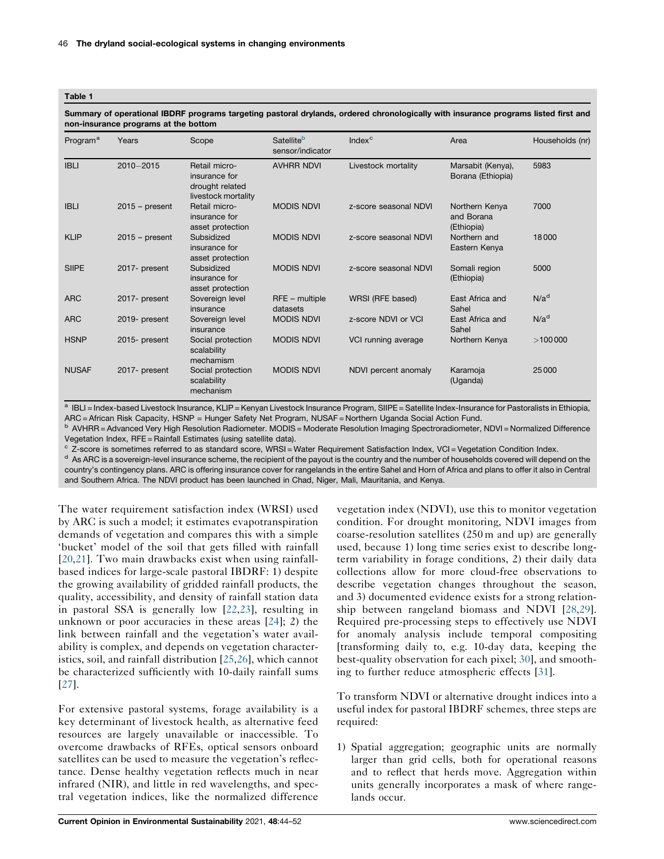#### Table 1

#### Summary of operational IBDRF programs targeting pastoral drylands, ordered chronologically with insurance programs listed first and non-insurance programs at the bottom

| Program <sup>a</sup> | Years            | Scope                                                                    | Satellite <sup>b</sup><br>sensor/indicator | Index <sup>c</sup>    | Area                                       | Households (nr)  |
|----------------------|------------------|--------------------------------------------------------------------------|--------------------------------------------|-----------------------|--------------------------------------------|------------------|
| <b>IBLI</b>          | $2010 - 2015$    | Retail micro-<br>insurance for<br>drought related<br>livestock mortality | <b>AVHRR NDVI</b>                          | Livestock mortality   | Marsabit (Kenya),<br>Borana (Ethiopia)     | 5983             |
| <b>IBLI</b>          | $2015 - present$ | Retail micro-<br>insurance for<br>asset protection                       | <b>MODIS NDVI</b>                          | z-score seasonal NDVI | Northern Kenya<br>and Borana<br>(Ethiopia) | 7000             |
| <b>KLIP</b>          | $2015 - present$ | Subsidized<br>insurance for<br>asset protection                          | <b>MODIS NDVI</b>                          | z-score seasonal NDVI | Northern and<br>Eastern Kenya              | 18000            |
| <b>SIIPE</b>         | 2017- present    | Subsidized<br>insurance for<br>asset protection                          | <b>MODIS NDVI</b>                          | z-score seasonal NDVI | Somali region<br>(Ethiopia)                | 5000             |
| <b>ARC</b>           | 2017- present    | Sovereign level<br>insurance                                             | $RFE$ – multiple<br>datasets               | WRSI (RFE based)      | East Africa and<br>Sahel                   | N/a <sup>d</sup> |
| <b>ARC</b>           | 2019- present    | Sovereign level<br>insurance                                             | <b>MODIS NDVI</b>                          | z-score NDVI or VCI   | East Africa and<br>Sahel                   | N/a <sup>d</sup> |
| <b>HSNP</b>          | 2015- present    | Social protection<br>scalability<br>mechamism                            | <b>MODIS NDVI</b>                          | VCI running average   | Northern Kenya                             | >100000          |
| <b>NUSAF</b>         | 2017- present    | Social protection<br>scalability<br>mechanism                            | <b>MODIS NDVI</b>                          | NDVI percent anomaly  | Karamoja<br>(Uganda)                       | 25 000           |

a IBLI = Index-based Livestock Insurance, KLIP = Kenyan Livestock Insurance Program, SIIPE = Satellite Index-Insurance for Pastoralists in Ethiopia, ARC = African Risk Capacity, HSNP = Hunger Safety Net Program, NUSAF = Northern Uganda Social Action Fund.

b AVHRR = Advanced Very High Resolution Radiometer. MODIS = Moderate Resolution Imaging Spectroradiometer, NDVI = Normalized Difference Vegetation Index, RFE =Rainfall Estimates (using satellite data).

c Z-score is sometimes referred to as standard score, WRSI = Water Requirement Satisfaction Index, VCI = Vegetation Condition Index.

<sup>d</sup> As ARC is a sovereign-level insurance scheme, the recipient of the payout is the country and the number of households covered will depend on the country's contingency plans. ARC is offering insurance cover for rangelands in the entire Sahel and Horn of Africa and plans to offer it also in Central and Southern Africa. The NDVI product has been launched in Chad, Niger, Mali, Mauritania, and Kenya.

The water requirement satisfaction index (WRSI) used by ARC is such a model; it estimates evapotranspiration demands of vegetation and compares this with a simple 'bucket' model of the soil that gets filled with rainfall [20,21]. Two main drawbacks exist when using rainfallbased indices for large-scale pastoral IBDRF: 1) despite the growing availability of gridded rainfall products, the quality, accessibility, and density of rainfall station data in pastoral SSA is generally low [22,23], resulting in unknown or poor accuracies in these areas [24]; 2) the link between rainfall and the vegetation's water availability is complex, and depends on vegetation characteristics, soil, and rainfall distribution [25,26], which cannot be characterized sufficiently with 10-daily rainfall sums [27].

For extensive pastoral systems, forage availability is a key determinant of livestock health, as alternative feed resources are largely unavailable or inaccessible. To overcome drawbacks of RFEs, optical sensors onboard satellites can be used to measure the vegetation's reflectance. Dense healthy vegetation reflects much in near infrared (NIR), and little in red wavelengths, and spectral vegetation indices, like the normalized difference vegetation index (NDVI), use this to monitor vegetation condition. For drought monitoring, NDVI images from coarse-resolution satellites (250 m and up) are generally used, because 1) long time series exist to describe longterm variability in forage conditions, 2) their daily data collections allow for more cloud-free observations to describe vegetation changes throughout the season, and 3) documented evidence exists for a strong relationship between rangeland biomass and NDVI [28,29]. Required pre-processing steps to effectively use NDVI for anomaly analysis include temporal compositing [transforming daily to, e.g. 10-day data, keeping the best-quality observation for each pixel; 30], and smoothing to further reduce atmospheric effects [31].

To transform NDVI or alternative drought indices into a useful index for pastoral IBDRF schemes, three steps are required:

1) Spatial aggregation; geographic units are normally larger than grid cells, both for operational reasons and to reflect that herds move. Aggregation within units generally incorporates a mask of where rangelands occur.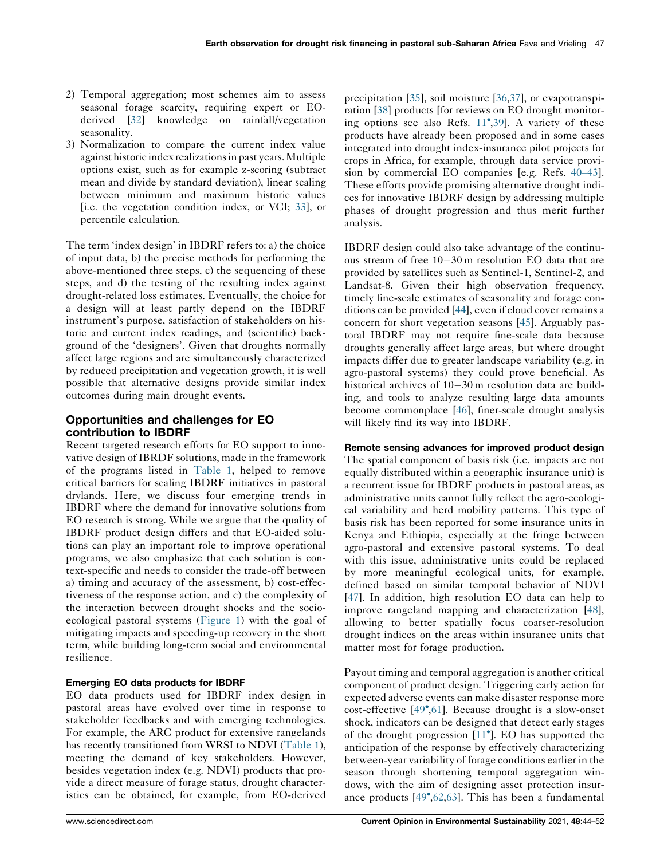- 2) Temporal aggregation; most schemes aim to assess seasonal forage scarcity, requiring expert or EOderived [32] knowledge on rainfall/vegetation seasonality.
- 3) Normalization to compare the current index value against historic index realizationsin past years.Multiple options exist, such as for example z-scoring (subtract mean and divide by standard deviation), linear scaling between minimum and maximum historic values [i.e. the vegetation condition index, or VCI; 33], or percentile calculation.

The term 'index design' in IBDRF refers to: a) the choice of input data, b) the precise methods for performing the above-mentioned three steps, c) the sequencing of these steps, and d) the testing of the resulting index against drought-related loss estimates. Eventually, the choice for a design will at least partly depend on the IBDRF instrument's purpose, satisfaction of stakeholders on historic and current index readings, and (scientific) background of the 'designers'. Given that droughts normally affect large regions and are simultaneously characterized by reduced precipitation and vegetation growth, it is well possible that alternative designs provide similar index outcomes during main drought events.

# Opportunities and challenges for EO contribution to IBDRF

Recent targeted research efforts for EO support to innovative design of IBRDF solutions, made in the framework of the programs listed in Table 1, helped to remove critical barriers for scaling IBDRF initiatives in pastoral drylands. Here, we discuss four emerging trends in IBDRF where the demand for innovative solutions from EO research is strong. While we argue that the quality of IBDRF product design differs and that EO-aided solutions can play an important role to improve operational programs, we also emphasize that each solution is context-specific and needs to consider the trade-off between a) timing and accuracy of the assessment, b) cost-effectiveness of the response action, and c) the complexity of the interaction between drought shocks and the socioecological pastoral systems (Figure 1) with the goal of mitigating impacts and speeding-up recovery in the short term, while building long-term social and environmental resilience.

## Emerging EO data products for IBDRF

EO data products used for IBDRF index design in pastoral areas have evolved over time in response to stakeholder feedbacks and with emerging technologies. For example, the ARC product for extensive rangelands has recently transitioned from WRSI to NDVI (Table 1), meeting the demand of key stakeholders. However, besides vegetation index (e.g. NDVI) products that provide a direct measure of forage status, drought characteristics can be obtained, for example, from EO-derived precipitation [35], soil moisture [36,37], or evapotranspiration [38] products [for reviews on EO drought monitoring options see also Refs. 11 ,39]. A variety of these products have already been proposed and in some cases integrated into drought index-insurance pilot projects for crops in Africa, for example, through data service provision by commercial EO companies [e.g. Refs. 40–43]. These efforts provide promising alternative drought indices for innovative IBDRF design by addressing multiple phases of drought progression and thus merit further analysis.

IBDRF design could also take advantage of the continuous stream of free  $10-30$  m resolution EO data that are provided by satellites such as Sentinel-1, Sentinel-2, and Landsat-8. Given their high observation frequency, timely fine-scale estimates of seasonality and forage conditions can be provided [44], even if cloud cover remains a concern for short vegetation seasons [45]. Arguably pastoral IBDRF may not require fine-scale data because droughts generally affect large areas, but where drought impacts differ due to greater landscape variability (e.g. in agro-pastoral systems) they could prove beneficial. As historical archives of  $10-30$  m resolution data are building, and tools to analyze resulting large data amounts become commonplace [46], finer-scale drought analysis will likely find its way into IBDRF.

## Remote sensing advances for improved product design

The spatial component of basis risk (i.e. impacts are not equally distributed within a geographic insurance unit) is a recurrent issue for IBDRF products in pastoral areas, as administrative units cannot fully reflect the agro-ecological variability and herd mobility patterns. This type of basis risk has been reported for some insurance units in Kenya and Ethiopia, especially at the fringe between agro-pastoral and extensive pastoral systems. To deal with this issue, administrative units could be replaced by more meaningful ecological units, for example, defined based on similar temporal behavior of NDVI [47]. In addition, high resolution EO data can help to improve rangeland mapping and characterization [48], allowing to better spatially focus coarser-resolution drought indices on the areas within insurance units that matter most for forage production.

Payout timing and temporal aggregation is another critical component of product design. Triggering early action for expected adverse events can make disaster response more cost-effective [49 ,61]. Because drought is a slow-onset shock, indicators can be designed that detect early stages of the drought progression [11 ]. EO has supported the anticipation of the response by effectively characterizing between-year variability of forage conditions earlier in the season through shortening temporal aggregation windows, with the aim of designing asset protection insurance products [49<sup>°</sup>,62,63]. This has been a fundamental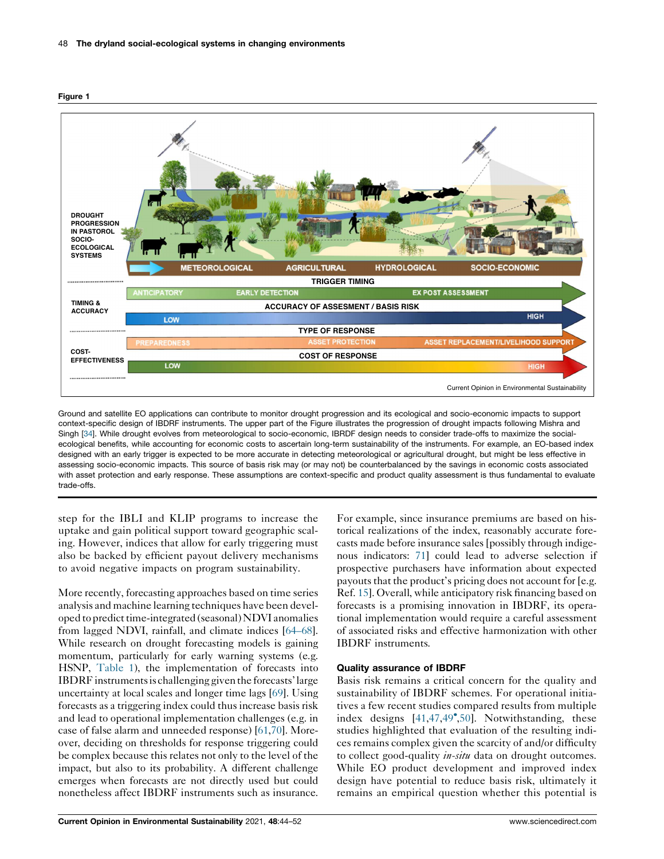



Ground and satellite EO applications can contribute to monitor drought progression and its ecological and socio-economic impacts to support context-specific design of IBDRF instruments. The upper part of the Figure illustrates the progression of drought impacts following Mishra and Singh [34]. While drought evolves from meteorological to socio-economic, IBRDF design needs to consider trade-offs to maximize the socialecological benefits, while accounting for economic costs to ascertain long-term sustainability of the instruments. For example, an EO-based index designed with an early trigger is expected to be more accurate in detecting meteorological or agricultural drought, but might be less effective in assessing socio-economic impacts. This source of basis risk may (or may not) be counterbalanced by the savings in economic costs associated with asset protection and early response. These assumptions are context-specific and product quality assessment is thus fundamental to evaluate trade-offs.

step for the IBLI and KLIP programs to increase the uptake and gain political support toward geographic scaling. However, indices that allow for early triggering must also be backed by efficient payout delivery mechanisms to avoid negative impacts on program sustainability.

More recently, forecasting approaches based on time series analysis and machine learning techniques have been developedtopredicttime-integrated(seasonal)NDVI anomalies from lagged NDVI, rainfall, and climate indices [64–68]. While research on drought forecasting models is gaining momentum, particularly for early warning systems (e.g. HSNP, Table 1), the implementation of forecasts into IBDRFinstrumentsis challenging giventhe forecasts'large uncertainty at local scales and longer time lags [69]. Using forecasts as a triggering index could thus increase basis risk and lead to operational implementation challenges (e.g. in case of false alarm and unneeded response) [61,70]. Moreover, deciding on thresholds for response triggering could be complex because this relates not only to the level of the impact, but also to its probability. A different challenge emerges when forecasts are not directly used but could nonetheless affect IBDRF instruments such as insurance.

For example, since insurance premiums are based on historical realizations of the index, reasonably accurate forecasts made before insurance sales[possibly through indigenous indicators: 71] could lead to adverse selection if prospective purchasers have information about expected payouts that the product's pricing does not account for [e.g. Ref. 15]. Overall, while anticipatory risk financing based on forecasts is a promising innovation in IBDRF, its operational implementation would require a careful assessment of associated risks and effective harmonization with other IBDRF instruments.

## Quality assurance of IBDRF

Basis risk remains a critical concern for the quality and sustainability of IBDRF schemes. For operational initiatives a few recent studies compared results from multiple index designs [41,47,49<sup>\*</sup>,50]. Notwithstanding, these studies highlighted that evaluation of the resulting indices remains complex given the scarcity of and/or difficulty to collect good-quality *in-situ* data on drought outcomes. While EO product development and improved index design have potential to reduce basis risk, ultimately it remains an empirical question whether this potential is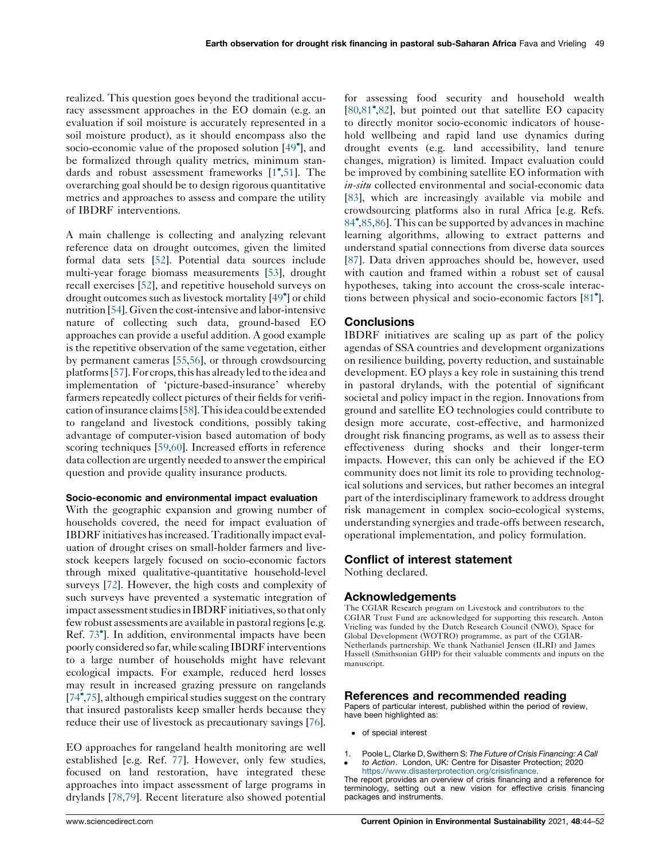realized. This question goes beyond the traditional accuracy assessment approaches in the EO domain (e.g. an evaluation if soil moisture is accurately represented in a soil moisture product), as it should encompass also the socio-economic value of the proposed solution [49<sup>°</sup>], and be formalized through quality metrics, minimum standards and robust assessment frameworks [1<sup>•</sup>,51]. The overarching goal should be to design rigorous quantitative metrics and approaches to assess and compare the utility of IBDRF interventions.

A main challenge is collecting and analyzing relevant reference data on drought outcomes, given the limited formal data sets [52]. Potential data sources include multi-year forage biomass measurements [53], drought recall exercises [52], and repetitive household surveys on drought outcomes such as livestock mortality [49 ] or child nutrition [54].Given the cost-intensive and labor-intensive nature of collecting such data, ground-based EO approaches can provide a useful addition. A good example is the repetitive observation of the same vegetation, either by permanent cameras [55,56], or through crowdsourcing platforms [57]. For crops, this has already led to the idea and implementation of 'picture-based-insurance' whereby farmers repeatedly collect pictures of their fields for verification of insurance claims [58]. This idea could be extended to rangeland and livestock conditions, possibly taking advantage of computer-vision based automation of body scoring techniques [59,60]. Increased efforts in reference data collection are urgently needed to answer the empirical question and provide quality insurance products.

## Socio-economic and environmental impact evaluation

With the geographic expansion and growing number of households covered, the need for impact evaluation of IBDRFinitiatives hasincreased.Traditionally impact evaluation of drought crises on small-holder farmers and livestock keepers largely focused on socio-economic factors through mixed qualitative-quantitative household-level surveys [72]. However, the high costs and complexity of such surveys have prevented a systematic integration of impact assessment studies in IBDRF initiatives, so that only few robust assessments are available in pastoral regions [e.g. Ref. 73 ]. In addition, environmental impacts have been poorly considered so far, while scaling IBDRF interventions to a large number of households might have relevant ecological impacts. For example, reduced herd losses may result in increased grazing pressure on rangelands [74 ,75], although empiricalstudiessuggest on the contrary that insured pastoralists keep smaller herds because they reduce their use of livestock as precautionary savings [76].

EO approaches for rangeland health monitoring are well established [e.g. Ref. 77]. However, only few studies, focused on land restoration, have integrated these approaches into impact assessment of large programs in drylands [78,79]. Recent literature also showed potential for assessing food security and household wealth [80,81 ,82], but pointed out that satellite EO capacity to directly monitor socio-economic indicators of household wellbeing and rapid land use dynamics during drought events (e.g. land accessibility, land tenure changes, migration) is limited. Impact evaluation could be improved by combining satellite EO information with in-situ collected environmental and social-economic data [83], which are increasingly available via mobile and crowdsourcing platforms also in rural Africa [e.g. Refs. 84 ,85,86]. This can be supported by advances in machine learning algorithms, allowing to extract patterns and understand spatial connections from diverse data sources [87]. Data driven approaches should be, however, used with caution and framed within a robust set of causal hypotheses, taking into account the cross-scale interactions between physical and socio-economic factors [81<sup>°</sup>].

## **Conclusions**

IBDRF initiatives are scaling up as part of the policy agendas of SSA countries and development organizations on resilience building, poverty reduction, and sustainable development. EO plays a key role in sustaining this trend in pastoral drylands, with the potential of significant societal and policy impact in the region. Innovations from ground and satellite EO technologies could contribute to design more accurate, cost-effective, and harmonized drought risk financing programs, as well as to assess their effectiveness during shocks and their longer-term impacts. However, this can only be achieved if the EO community does not limit its role to providing technological solutions and services, but rather becomes an integral part of the interdisciplinary framework to address drought risk management in complex socio-ecological systems, understanding synergies and trade-offs between research, operational implementation, and policy formulation.

## Conflict of interest statement

Nothing declared.

### Acknowledgements

The CGIAR Research program on Livestock and contributors to the CGIAR Trust Fund are acknowledged for supporting this research. Anton Vrieling was funded by the Dutch Research Council (NWO), Space for Global Development (WOTRO) programme, as part of the CGIAR-Netherlands partnership. We thank Nathaniel Jensen (ILRI) and James Hassell (Smithsonian GHP) for their valuable comments and inputs on the manuscript.

## References and recommended reading

Papers of particular interest, published within the period of review, have been highlighted as:

- of special interest
- 1.  $\bullet$ Poole L, Clarke D, Swithern S: *The Future of Crisis Financing: A Call to Action*. London, UK: Centre for Disaster Protection; 2020
- https://www.disasterprotection.org/crisisfinance.

The report provides an overview of crisis financing and a reference for terminology, setting out a new vision for effective crisis financing packages and instruments.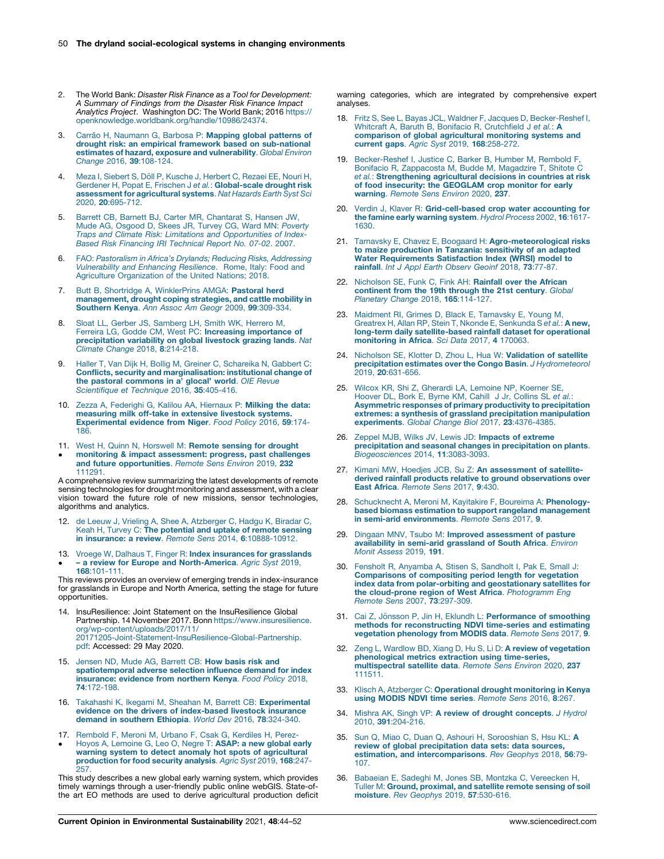- 2. The World Bank: *Disaster Risk Finance as a Tool for Development: A Summary of Findings from the Disaster Risk Finance Impact Analytics Project*. Washington DC: The World Bank; 2016 https:// openknowledge.worldbank.org/handle/10986/24374.
- Carrão H, Naumann G, Barbosa P: Mapping global patterns of drought risk: an empirical framework based on sub-national estimates of hazard, exposure and vulnerability. *Global Environ Change* 2016, 39:108-124.
- Meza I, Siebert S, Döll P, Kusche J, Herbert C, Rezaei EE, Nouri H, Gerdener H, Popat E, Frischen J *et al.*: Global-scale drought risk assessment for agricultural systems. *Nat Hazards Earth Syst Sci* 2020, 20:695-712.
- 5. Barrett CB, Barnett BJ, Carter MR, Chantarat S, Hansen JW, Mude AG, Osgood D, Skees JR, Turvey CG, Ward MN: *Poverty Traps and Climate Risk: Limitations and Opportunities of Index-Based Risk Financing IRI Technical Report No. 07-02*. 2007.
- 6. FAO: *Pastoralism in Africa's Drylands; Reducing Risks, Addressing Vulnerability and Enhancing Resilience*. Rome, Italy: Food and Agriculture Organization of the United Nations; 2018.
- Butt B, Shortridge A, WinklerPrins AMGA: Pastoral herd management, drought coping strategies, and cattle mobility in Southern Kenya. *Ann Assoc Am Geogr* 2009, 99:309-334.
- 8. Sloat LL, Gerber JS, Samberg LH, Smith WK, Herrero M, Ferreira LG, Godde CM, West PC: Increasing importance of precipitation variability on global livestock grazing lands. *Nat Climate Change* 2018, 8:214-218.
- 9. Haller T, Van Dijk H, Bollig M, Greiner C, Schareika N, Gabbert C: Conflicts, security and marginalisation: institutional change of the pastoral commons in a' glocal' world. *OIE Revue Scientifique et Technique* 2016, 35:405-416.
- 10. Zezza A, Federighi G, Kalilou AA, Hiernaux P: Milking the data: measuring milk off-take in extensive livestock systems. Experimental evidence from Niger. *Food Policy* 2016, 59:174- 186.
- 11. West H, Quinn N, Horswell M: Remote sensing for drought
- $\bullet$ monitoring & impact assessment: progress, past challenges and future opportunities. *Remote Sens Environ* 2019, 232 111291.

A comprehensive review summarizing the latest developments of remote sensing technologies for drought monitoring and assessment, with a clear vision toward the future role of new missions, sensor technologies, algorithms and analytics.

- 12. de Leeuw J. Vrieling A. Shee A. Atzberger C. Hadgu K. Biradar C. Keah H, Turvey C: The potential and uptake of remote sensing in insurance: a review. *Remote Sens* 2014, 6:10888-10912.
- 13. Vroege W, Dalhaus T, Finger R: **Index insurances for grasslands**<br>•  **a review for Europe and North-America**, Agric Syst 2019. – a review for Europe and North-America. *Agric Syst* 2019, 168:101-111.

This reviews provides an overview of emerging trends in index-insurance for grasslands in Europe and North America, setting the stage for future opportunities.

- 14. InsuResilience: Joint Statement on the InsuResilience Global Partnership. 14 November 2017. Bonn https://www.insuresilience. org/wp-content/uploads/2017/11/ 20171205-Joint-Statement-InsuResilience-Global-Partnership. pdf: Accessed: 29 May 2020.
- 15. Jensen ND, Mude AG, Barrett CB: How basis risk and spatiotemporal adverse selection influence demand for index insurance: evidence from northern Kenya. *Food Policy* 2018, 74:172-198.
- 16. Takahashi K, Ikegami M, Sheahan M, Barrett CB: Experimental evidence on the drivers of index-based livestock insurance demand in southern Ethiopia. *World Dev* 2016, 78:324-340.
- 17. Rembold F, Meroni M, Urbano F, Csak G, Kerdiles H, Perez-<br>● Hovos A. Lemoine G. Leo O. Negre T: **ASAP: a new global e** Hoyos A, Lemoine G, Leo O, Negre T: ASAP: a new global early warning system to detect anomaly hot spots of agricultural production for food security analysis. *Agric Syst* 2019, 168:247- 257.

This study describes a new global early warning system, which provides timely warnings through a user-friendly public online webGIS. State-ofthe art EO methods are used to derive agricultural production deficit

warning categories, which are integrated by comprehensive expert analyses.

- 18. Fritz S, See L, Bayas JCL, Waldner F, Jacques D, Becker-Reshef I, Whitcraft A, Baruth B, Bonifacio R, Crutchfield J *et al.*: A comparison of global agricultural monitoring systems and current gaps. *Agric Syst* 2019, 168:258-272.
- 19. Becker-Reshef I, Justice C, Barker B, Humber M, Rembold F, Bonifacio R, Zappacosta M, Budde M, Magadzire T, Shitote C *et al.*: Strengthening agricultural decisions in countries at risk of food insecurity: the GEOGLAM crop monitor for early warning. *Remote Sens Environ* 2020, 237.
- 20. Verdin J, Klaver R: Grid-cell-based crop water accounting for the famine early warning system. *Hydrol Process* 2002, 16:1617- 1630.
- 21. Tarnavsky E, Chavez E, Boogaard H: Agro-meteorological risks to maize production in Tanzania: sensitivity of an adapted Water Requirements Satisfaction Index (WRSI) model to rainfall. *Int J Appl Earth Observ Geoinf* 2018, 73:77-87.
- 22. Nicholson SE, Funk C, Fink AH: Rainfall over the African continent from the 19th through the 21st century. *Global Planetary Change* 2018, 165:114-127.
- 23. Maidment RI, Grimes D, Black E, Tarnavsky E, Young M, Greatrex H, Allan RP, Stein T, Nkonde E, Senkunda S *et al.*: A new, long-term daily satellite-based rainfall dataset for operational monitoring in Africa. *Sci Data* 2017, 4 170063.
- 24. Nicholson SE, Klotter D, Zhou L, Hua W: Validation of satellite precipitation estimates over the Congo Basin. *J Hydrometeorol* 2019, 20:631-656.
- 25. Wilcox KR, Shi Z, Gherardi LA, Lemoine NP, Koerner SE, Hoover DL, Bork E, Byrne KM, Cahill J Jr, Collins SL *et al.*: Asymmetric responses of primary productivity to precipitation extremes: a synthesis of grassland precipitation manipulation experiments. *Global Change Biol* 2017, 23:4376-4385.
- 26. Zeppel MJB, Wilks JV, Lewis JD: Impacts of extreme precipitation and seasonal changes in precipitation on plants. *Biogeosciences* 2014, 11:3083-3093.
- 27. Kimani MW, Hoedjes JCB, Su Z: An assessment of satellitederived rainfall products relative to ground observations over East Africa. *Remote Sens* 2017, 9:430.
- 28. Schucknecht A, Meroni M, Kayitakire F, Boureima A: Phenologybased biomass estimation to support rangeland management in semi-arid environments. *Remote Sens* 2017, 9.
- 29. Dingaan MNV, Tsubo M: Improved assessment of pasture availability in semi-arid grassland of South Africa. *Environ Monit Assess* 2019, 191.
- 30. Fensholt R, Anyamba A, Stisen S, Sandholt I, Pak E, Small J: Comparisons of compositing period length for vegetation index data from polar-orbiting and geostationary satellites for the cloud-prone region of West Africa. *Photogramm Eng Remote Sens* 2007, 73:297-309.
- 31. Cai Z, Jönsson P, Jin H, Eklundh L: Performance of smoothing methods for reconstructing NDVI time-series and estimating vegetation phenology from MODIS data. *Remote Sens* 2017, 9.
- 32. Zeng L, Wardlow BD, Xiang D, Hu S, Li D: A review of vegetation phenological metrics extraction using time-series, multispectral satellite data. *Remote Sens Environ* 2020, 237 111511.
- 33. Klisch A, Atzberger C: Operational drought monitoring in Kenya using MODIS NDVI time series. *Remote Sens* 2016, 8:267.
- 34. Mishra AK, Singh VP: A review of drought concepts. *J Hydrol* 2010, 391:204-216.
- 35. Sun Q, Miao C, Duan Q, Ashouri H, Sorooshian S, Hsu KL: A review of global precipitation data sets: data sources, estimation, and intercomparisons. *Rev Geophys* 2018, 56:79- 107.
- 36. Babaeian E, Sadeghi M, Jones SB, Montzka C, Vereecken H, Tuller M: Ground, proximal, and satellite remote sensing of soil moisture. *Rev Geophys* 2019, 57:530-616.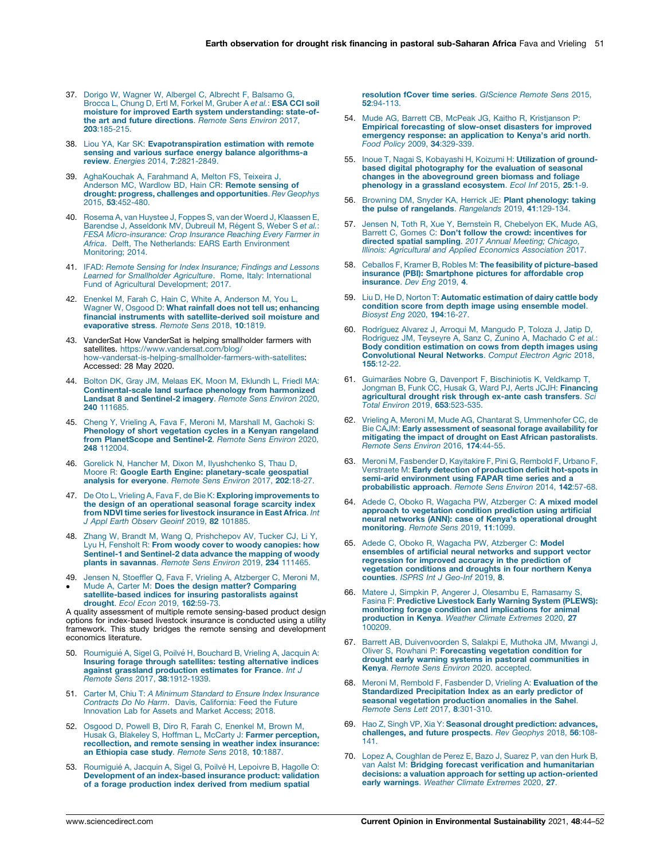- 37. Dorigo W, Wagner W, Albergel C, Albrecht F, Balsamo G, Brocca L, Chung D, Ertl M, Forkel M, Gruber A *et al.*: ESA CCI soil moisture for improved Earth system understanding: state-ofthe art and future directions. *Remote Sens Environ* 2017, 203:185-215.
- 38. Liou YA, Kar SK: Evapotranspiration estimation with remote sensing and various surface energy balance algorithms-a review. *Energies* 2014, 7:2821-2849.
- 39. AghaKouchak A, Farahmand A, Melton FS, Teixeira J, Anderson MC, Wardlow BD, Hain CR: Remote sensing of drought: progress, challenges and opportunities. *Rev Geophys* 2015, 53:452-480.
- 40. Rosema A, van Huystee J, Foppes S, van der Woerd J, Klaassen E, Barendse J, Asseldonk MV, Dubreuil M, Régent S, Weber S et al.<sup>:</sup> *FESA Micro-insurance: Crop Insurance Reaching Every Farmer in Africa*. Delft, The Netherlands: EARS Earth Environment Monitoring; 2014.
- 41. IFAD: *Remote Sensing for Index Insurance; Findings and Lessons Learned for Smallholder Agriculture*. Rome, Italy: International Fund of Agricultural Development; 2017.
- 42. Enenkel M, Farah C, Hain C, White A, Anderson M, You L,<br>Wagner W, Osgood D: **What rainfall does not tell us; enhancing** financial instruments with satellite-derived soil moisture and evaporative stress. *Remote Sens* 2018, 10:1819.
- 43. VanderSat How VanderSat is helping smallholder farmers with satellites. https://www.vandersat.com/blog/ how-vandersat-is-helping-smallholder-farmers-with-satellites: Accessed: 28 May 2020.
- 44. Bolton DK, Gray JM, Melaas EK, Moon M, Eklundh L, Friedl MA: Continental-scale land surface phenology from harmonized Landsat 8 and Sentinel-2 imagery. *Remote Sens Environ* 2020, 240 111685.
- 45. Cheng Y, Vrieling A, Fava F, Meroni M, Marshall M, Gachoki S: Phenology of short vegetation cycles in a Kenyan rangeland from PlanetScope and Sentinel-2. *Remote Sens Environ* 2020, 248 112004.
- 46. Gorelick N, Hancher M, Dixon M, Ilyushchenko S, Thau D, Moore R: Google Earth Engine: planetary-scale geospatial analysis for everyone. *Remote Sens Environ* 2017, 202:18-27.
- 47. De Oto L, Vrieling A, Fava F, de Bie K: Exploring improvements to the design of an operational seasonal forage scarcity index from NDVI time series for livestock insurance in East Africa. *Int J Appl Earth Observ Geoinf* 2019, 82 101885.
- 48. Zhang W, Brandt M, Wang Q, Prishchepov AV, Tucker CJ, Li Y, Lyu H, Fensholt R: From woody cover to woody canopies: how Sentinel-1 and Sentinel-2 data advance the mapping of woody plants in savannas. *Remote Sens Environ* 2019, 234 111465.
- 49. Jensen N, Stoeffler Q, Fava F, Vrieling A, Atzberger C, Meroni M,<br>• Mude A. Carter M: **Does the design matter? Comparing**
- Mude A, Carter M: Does the design matter? Comparing satellite-based indices for insuring pastoralists against drought. *Ecol Econ* 2019, 162:59-73.

A quality assessment of multiple remote sensing-based product design options for index-based livestock insurance is conducted using a utility framework. This study bridges the remote sensing and development economics literature.

- 50. Roumiguié A, Sigel G, Poilvé H, Bouchard B, Vrieling A, Jacquin A: Insuring forage through satellites: testing alternative indices against grassland production estimates for France. *Int J Remote Sens* 2017, 38:1912-1939.
- 51. Carter M, Chiu T: *A Minimum Standard to Ensure Index Insurance Contracts Do No Harm*. Davis, California: Feed the Future Innovation Lab for Assets and Market Access; 2018.
- 52. Osgood D, Powell B, Diro R, Farah C, Enenkel M, Brown M, Husak G, Blakeley S, Hoffman L, McCarty J: Farmer perception, recollection, and remote sensing in weather index insurance: an Ethiopia case study. *Remote Sens* 2018, 10:1887.
- 53. Roumiguié A, Jacquin A, Sigel G, Poilvé H, Lepoivre B, Hagolle O: Development of an index-based insurance product: validation of a forage production index derived from medium spatial

resolution fCover time series. *GIScience Remote Sens* 2015, 52:94-113.

- 54. Mude AG, Barrett CB, McPeak JG, Kaitho R, Kristjanson P: Empirical forecasting of slow-onset disasters for improved emergency response: an application to Kenya's arid north. *Food Policy* 2009, 34:329-339.
- 55. Inoue T, Nagai S, Kobayashi H, Koizumi H: Utilization of groundbased digital photography for the evaluation of seasonal changes in the aboveground green biomass and foliage phenology in a grassland ecosystem. *Ecol Inf* 2015, 25:1-9.
- 56. Browning DM, Snyder KA, Herrick JE: Plant phenology: taking the pulse of rangelands. *Rangelands* 2019, 41:129-134.
- 57. Jensen N, Toth R, Xue Y, Bernstein R, Chebelyon EK, Mude AG, Barrett C, Gomes C: Don't follow the crowd: incentives for directed spatial sampling. *2017 Annual Meeting; Chicago, Illinois: Agricultural and Applied Economics Association* 2017.
- 58. Ceballos F, Kramer B, Robles M: The feasibility of picture-based insurance (PBI): Smartphone pictures for affordable crop insurance. *Dev Eng* 2019, 4.
- 59. Liu D, He D, Norton T: Automatic estimation of dairy cattle body condition score from depth image using ensemble model. *Biosyst Eng* 2020, 194:16-27.
- 60. Rodríguez Alvarez J, Arroqui M, Mangudo P, Toloza J, Jatip D, Rodríguez JM, Teyseyre A, Sanz C, Zunino A, Machado C *et al.*:<br>**Body condition estimation on cows from depth images using** Convolutional Neural Networks. *Comput Electron Agric* 2018, 155:12-22.
- 61. Guimarães Nobre G, Davenport F, Bischiniotis K, Veldkamp T, Jongman B, Funk CC, Husak G, Ward PJ, Aerts JCJH: Financing agricultural drought risk through ex-ante cash transfers. *Sci Total Environ* 2019, 653:523-535.
- 62. Vrieling A, Meroni M, Mude AG, Chantarat S, Ummenhofer CC, de Bie CAJM: Early assessment of seasonal forage availability for mitigating the impact of drought on East African pastoralists. *Remote Sens Environ* 2016, 174:44-55.
- 63. Meroni M, Fasbender D, Kayitakire F, Pini G, Rembold F, Urbano F, Verstraete M: Early detection of production deficit hot-spots in semi-arid environment using FAPAR time series and a probabilistic approach. *Remote Sens Environ* 2014, 142:57-68.
- 64. Adede C, Oboko R, Wagacha PW, Atzberger C: A mixed model approach to vegetation condition prediction using artificial neural networks (ANN): case of Kenya's operational drought monitoring. *Remote Sens* 2019, 11:1099.
- 65. Adede C, Oboko R, Wagacha PW, Atzberger C: Model ensembles of artificial neural networks and support vector regression for improved accuracy in the prediction of vegetation conditions and droughts in four northern Kenya counties. *ISPRS Int J Geo-Inf* 2019, 8.
- 66. Matere J, Simpkin P, Angerer J, Olesambu E, Ramasamy S, Fasina F: Predictive Livestock Early Warning System (PLEWS): monitoring forage condition and implications for animal production in Kenya. *Weather Climate Extremes* 2020, 27 100209.
- 67. Barrett AB, Duivenvoorden S, Salakpi E, Muthoka JM, Mwangi J, Oliver S, Rowhani P: Forecasting vegetation condition for drought early warning systems in pastoral communities in Kenya. *Remote Sens Environ* 2020. accepted.
- 68. Meroni M, Rembold F, Fasbender D, Vrieling A: Evaluation of the Standardized Precipitation Index as an early predictor of seasonal vegetation production anomalies in the Sahel. *Remote Sens Lett* 2017, 8:301-310.
- 69. Hao Z, Singh VP, Xia Y: Seasonal drought prediction: advances, challenges, and future prospects. *Rev Geophys* 2018, 56:108- 141.
- 70. Lopez A, Coughlan de Perez E, Bazo J, Suarez P, van den Hurk B, van Aalst M: Bridging forecast verification and humanitarian decisions: a valuation approach for setting up action-oriented early warnings. *Weather Climate Extremes* 2020, 27.